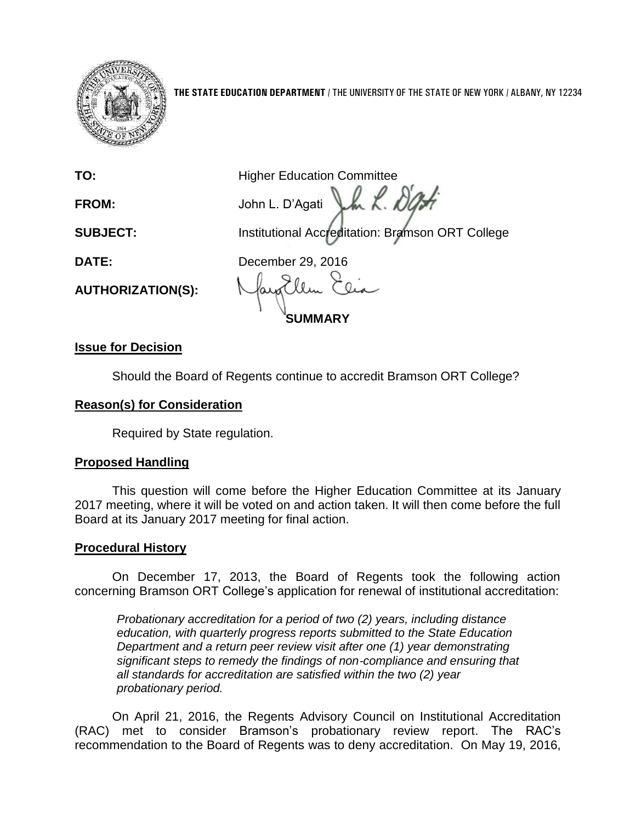

**THE STATE EDUCATION DEPARTMENT** / THE UNIVERSITY OF THE STATE OF NEW YORK / ALBANY, NY 12234

**AUTHORIZATION(S):**

**TO:** Higher Education Committee Van K. Da **FROM:** John L. D'Agati **SUBJECT:** Institutional Accreditation: Bramson ORT College

**DATE:** December 29, 2016

**SUMMARY**

## **Issue for Decision**

Should the Board of Regents continue to accredit Bramson ORT College?

## **Reason(s) for Consideration**

Required by State regulation.

# **Proposed Handling**

This question will come before the Higher Education Committee at its January 2017 meeting, where it will be voted on and action taken. It will then come before the full Board at its January 2017 meeting for final action.

## **Procedural History**

On December 17, 2013, the Board of Regents took the following action concerning Bramson ORT College's application for renewal of institutional accreditation:

*Probationary accreditation for a period of two (2) years, including distance education, with quarterly progress reports submitted to the State Education Department and a return peer review visit after one (1) year demonstrating significant steps to remedy the findings of non*‐*compliance and ensuring that all standards for accreditation are satisfied within the two (2) year probationary period.*

On April 21, 2016, the Regents Advisory Council on Institutional Accreditation (RAC) met to consider Bramson's probationary review report. The RAC's recommendation to the Board of Regents was to deny accreditation. On May 19, 2016,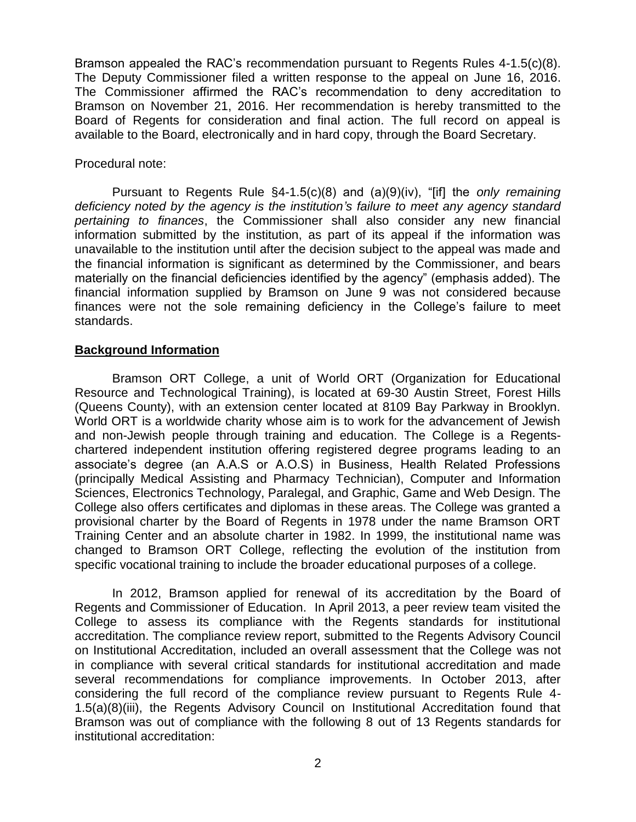Bramson appealed the RAC's recommendation pursuant to Regents Rules 4-1.5(c)(8). The Deputy Commissioner filed a written response to the appeal on June 16, 2016. The Commissioner affirmed the RAC's recommendation to deny accreditation to Bramson on November 21, 2016. Her recommendation is hereby transmitted to the Board of Regents for consideration and final action. The full record on appeal is available to the Board, electronically and in hard copy, through the Board Secretary.

#### Procedural note:

Pursuant to Regents Rule §4-1.5(c)(8) and (a)(9)(iv), "[if] the *only remaining deficiency noted by the agency is the institution's failure to meet any agency standard pertaining to finances*, the Commissioner shall also consider any new financial information submitted by the institution, as part of its appeal if the information was unavailable to the institution until after the decision subject to the appeal was made and the financial information is significant as determined by the Commissioner, and bears materially on the financial deficiencies identified by the agency" (emphasis added). The financial information supplied by Bramson on June 9 was not considered because finances were not the sole remaining deficiency in the College's failure to meet standards.

#### **Background Information**

Bramson ORT College, a unit of World ORT (Organization for Educational Resource and Technological Training), is located at 69-30 Austin Street, Forest Hills (Queens County), with an extension center located at 8109 Bay Parkway in Brooklyn. World ORT is a worldwide charity whose aim is to work for the advancement of Jewish and non-Jewish people through training and education. The College is a Regentschartered independent institution offering registered degree programs leading to an associate's degree (an A.A.S or A.O.S) in Business, Health Related Professions (principally Medical Assisting and Pharmacy Technician), Computer and Information Sciences, Electronics Technology, Paralegal, and Graphic, Game and Web Design. The College also offers certificates and diplomas in these areas. The College was granted a provisional charter by the Board of Regents in 1978 under the name Bramson ORT Training Center and an absolute charter in 1982. In 1999, the institutional name was changed to Bramson ORT College, reflecting the evolution of the institution from specific vocational training to include the broader educational purposes of a college.

In 2012, Bramson applied for renewal of its accreditation by the Board of Regents and Commissioner of Education. In April 2013, a peer review team visited the College to assess its compliance with the Regents standards for institutional accreditation. The compliance review report, submitted to the Regents Advisory Council on Institutional Accreditation, included an overall assessment that the College was not in compliance with several critical standards for institutional accreditation and made several recommendations for compliance improvements. In October 2013, after considering the full record of the compliance review pursuant to Regents Rule 4- 1.5(a)(8)(iii), the Regents Advisory Council on Institutional Accreditation found that Bramson was out of compliance with the following 8 out of 13 Regents standards for institutional accreditation: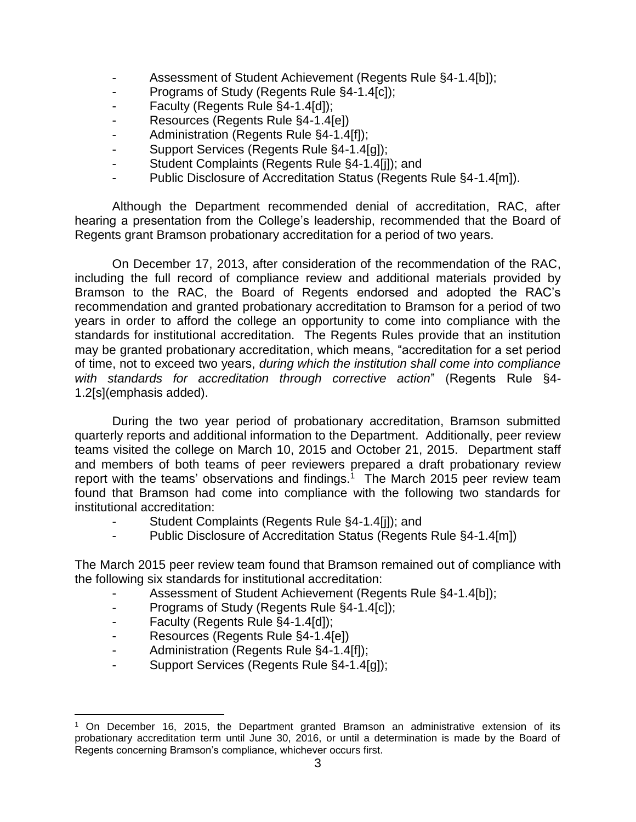- Assessment of Student Achievement (Regents Rule §4-1.4[b]);
- Programs of Study (Regents Rule §4-1.4[c]);
- Faculty (Regents Rule §4-1.4[d]);
- Resources (Regents Rule §4-1.4[e])
- Administration (Regents Rule §4-1.4[f]);
- Support Services (Regents Rule §4-1.4[g]);
- Student Complaints (Regents Rule §4-1.4[j]); and
- Public Disclosure of Accreditation Status (Regents Rule §4-1.4[m]).

Although the Department recommended denial of accreditation, RAC, after hearing a presentation from the College's leadership, recommended that the Board of Regents grant Bramson probationary accreditation for a period of two years.

On December 17, 2013, after consideration of the recommendation of the RAC, including the full record of compliance review and additional materials provided by Bramson to the RAC, the Board of Regents endorsed and adopted the RAC's recommendation and granted probationary accreditation to Bramson for a period of two years in order to afford the college an opportunity to come into compliance with the standards for institutional accreditation. The Regents Rules provide that an institution may be granted probationary accreditation, which means, "accreditation for a set period of time, not to exceed two years, *during which the institution shall come into compliance with standards for accreditation through corrective action*" (Regents Rule §4- 1.2[s](emphasis added).

During the two year period of probationary accreditation, Bramson submitted quarterly reports and additional information to the Department. Additionally, peer review teams visited the college on March 10, 2015 and October 21, 2015. Department staff and members of both teams of peer reviewers prepared a draft probationary review report with the teams' observations and findings.<sup>1</sup> The March 2015 peer review team found that Bramson had come into compliance with the following two standards for institutional accreditation:

- Student Complaints (Regents Rule §4-1.4[j]); and
- Public Disclosure of Accreditation Status (Regents Rule §4-1.4[m])

The March 2015 peer review team found that Bramson remained out of compliance with the following six standards for institutional accreditation:

- Assessment of Student Achievement (Regents Rule §4-1.4[b]);
- Programs of Study (Regents Rule §4-1.4[c]);
- Faculty (Regents Rule §4-1.4[d]);
- Resources (Regents Rule §4-1.4[e])
- Administration (Regents Rule §4-1.4[f]);
- Support Services (Regents Rule §4-1.4[g]);

 $\overline{a}$ <sup>1</sup> On December 16, 2015, the Department granted Bramson an administrative extension of its probationary accreditation term until June 30, 2016, or until a determination is made by the Board of Regents concerning Bramson's compliance, whichever occurs first.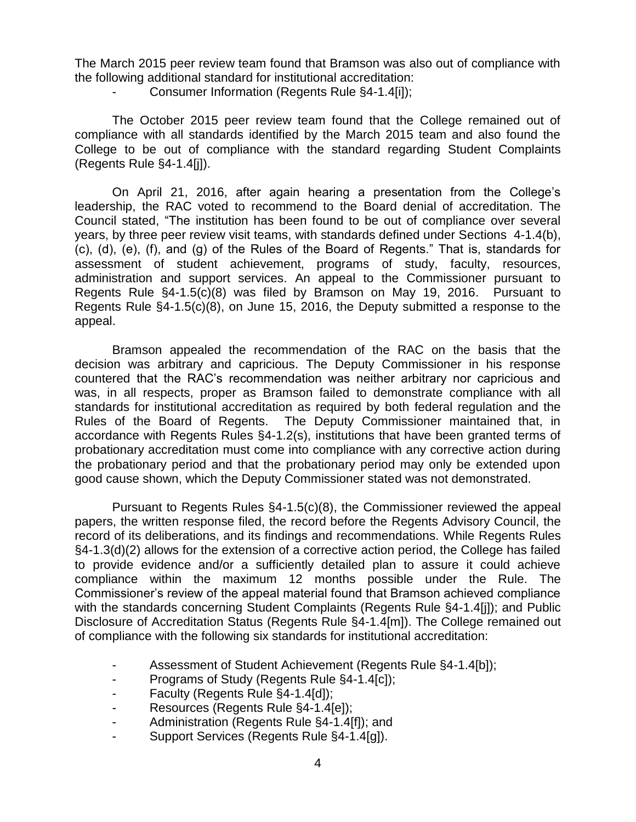The March 2015 peer review team found that Bramson was also out of compliance with the following additional standard for institutional accreditation:

Consumer Information (Regents Rule §4-1.4[i]);

The October 2015 peer review team found that the College remained out of compliance with all standards identified by the March 2015 team and also found the College to be out of compliance with the standard regarding Student Complaints (Regents Rule §4-1.4[j]).

On April 21, 2016, after again hearing a presentation from the College's leadership, the RAC voted to recommend to the Board denial of accreditation. The Council stated, "The institution has been found to be out of compliance over several years, by three peer review visit teams, with standards defined under Sections 4-1.4(b), (c), (d), (e), (f), and (g) of the Rules of the Board of Regents." That is, standards for assessment of student achievement, programs of study, faculty, resources, administration and support services. An appeal to the Commissioner pursuant to Regents Rule §4-1.5(c)(8) was filed by Bramson on May 19, 2016. Pursuant to Regents Rule §4-1.5(c)(8), on June 15, 2016, the Deputy submitted a response to the appeal.

Bramson appealed the recommendation of the RAC on the basis that the decision was arbitrary and capricious. The Deputy Commissioner in his response countered that the RAC's recommendation was neither arbitrary nor capricious and was, in all respects, proper as Bramson failed to demonstrate compliance with all standards for institutional accreditation as required by both federal regulation and the Rules of the Board of Regents. The Deputy Commissioner maintained that, in accordance with Regents Rules §4-1.2(s), institutions that have been granted terms of probationary accreditation must come into compliance with any corrective action during the probationary period and that the probationary period may only be extended upon good cause shown, which the Deputy Commissioner stated was not demonstrated.

Pursuant to Regents Rules §4-1.5(c)(8), the Commissioner reviewed the appeal papers, the written response filed, the record before the Regents Advisory Council, the record of its deliberations, and its findings and recommendations. While Regents Rules §4-1.3(d)(2) allows for the extension of a corrective action period, the College has failed to provide evidence and/or a sufficiently detailed plan to assure it could achieve compliance within the maximum 12 months possible under the Rule. The Commissioner's review of the appeal material found that Bramson achieved compliance with the standards concerning Student Complaints (Regents Rule §4-1.4[j]); and Public Disclosure of Accreditation Status (Regents Rule §4-1.4[m]). The College remained out of compliance with the following six standards for institutional accreditation:

- Assessment of Student Achievement (Regents Rule §4-1.4[b]);
- Programs of Study (Regents Rule §4-1.4[c]);
- Faculty (Regents Rule §4-1.4[d]);
- Resources (Regents Rule §4-1.4[e]);
- Administration (Regents Rule §4-1.4[f]); and
- Support Services (Regents Rule §4-1.4[g]).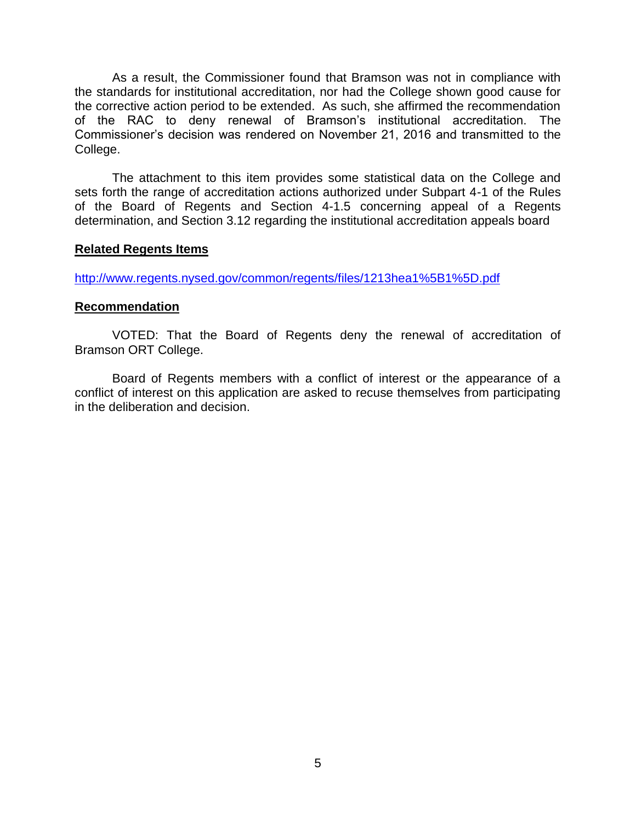As a result, the Commissioner found that Bramson was not in compliance with the standards for institutional accreditation, nor had the College shown good cause for the corrective action period to be extended. As such, she affirmed the recommendation of the RAC to deny renewal of Bramson's institutional accreditation. The Commissioner's decision was rendered on November 21, 2016 and transmitted to the College.

The attachment to this item provides some statistical data on the College and sets forth the range of accreditation actions authorized under Subpart 4-1 of the Rules of the Board of Regents and Section 4-1.5 concerning appeal of a Regents determination, and Section 3.12 regarding the institutional accreditation appeals board

#### **Related Regents Items**

<http://www.regents.nysed.gov/common/regents/files/1213hea1%5B1%5D.pdf>

#### **Recommendation**

VOTED: That the Board of Regents deny the renewal of accreditation of Bramson ORT College.

Board of Regents members with a conflict of interest or the appearance of a conflict of interest on this application are asked to recuse themselves from participating in the deliberation and decision.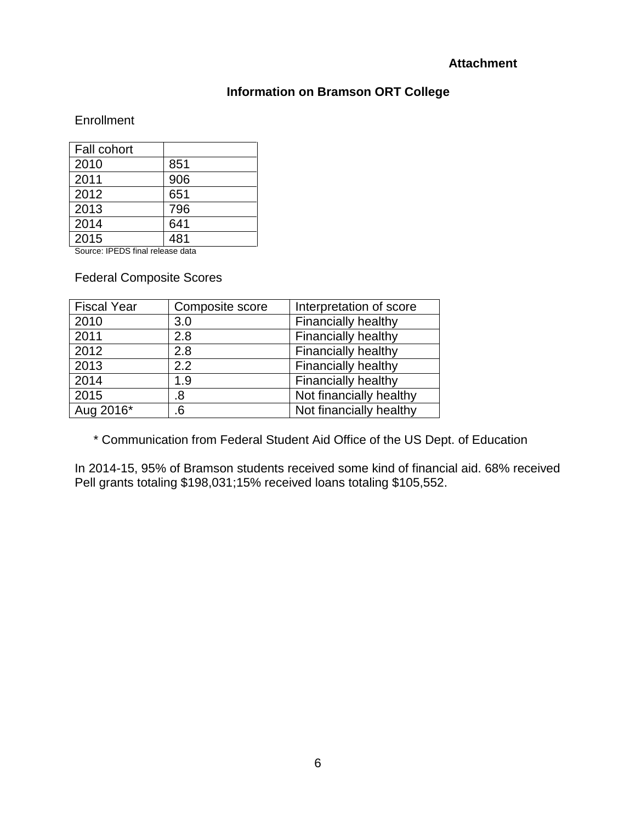### **Attachment**

## **Information on Bramson ORT College**

### **Enrollment**

| Fall cohort |     |
|-------------|-----|
| 2010        | 851 |
| 2011        | 906 |
| 2012        | 651 |
| 2013        | 796 |
| 2014        | 641 |
| 2015        | 481 |

Source: IPEDS final release data

Federal Composite Scores

| <b>Fiscal Year</b> | Composite score | Interpretation of score    |
|--------------------|-----------------|----------------------------|
| 2010               | 3.0             | Financially healthy        |
| 2011               | 2.8             | <b>Financially healthy</b> |
| 2012               | 2.8             | <b>Financially healthy</b> |
| 2013               | 2.2             | <b>Financially healthy</b> |
| 2014               | 1.9             | <b>Financially healthy</b> |
| 2015               | .8              | Not financially healthy    |
| Aug 2016*          | 6.              | Not financially healthy    |

\* Communication from Federal Student Aid Office of the US Dept. of Education

In 2014-15, 95% of Bramson students received some kind of financial aid. 68% received Pell grants totaling \$198,031;15% received loans totaling \$105,552.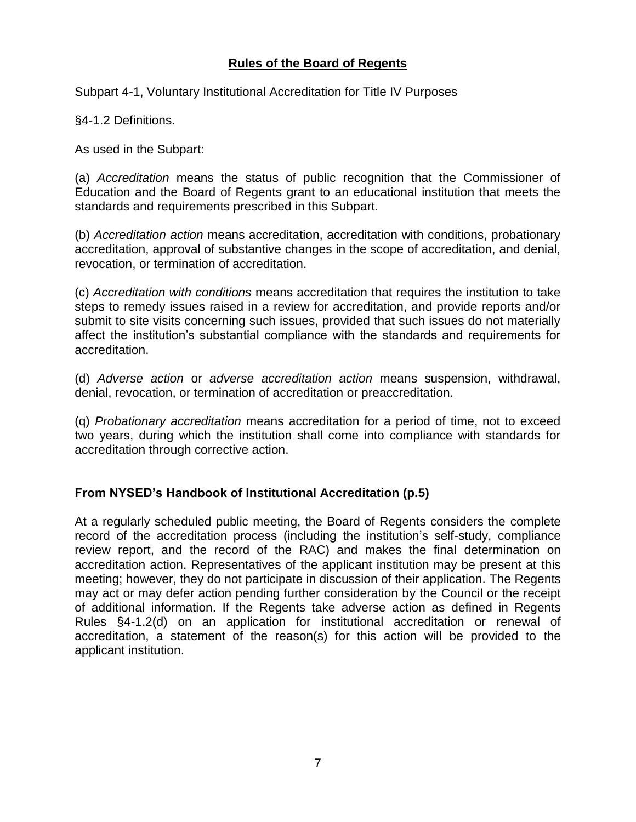## **Rules of the Board of Regents**

Subpart 4-1, Voluntary Institutional Accreditation for Title IV Purposes

§4-1.2 Definitions.

As used in the Subpart:

(a) *Accreditation* means the status of public recognition that the Commissioner of Education and the Board of Regents grant to an educational institution that meets the standards and requirements prescribed in this Subpart.

(b) *Accreditation action* means accreditation, accreditation with conditions, probationary accreditation, approval of substantive changes in the scope of accreditation, and denial, revocation, or termination of accreditation.

(c) *Accreditation with conditions* means accreditation that requires the institution to take steps to remedy issues raised in a review for accreditation, and provide reports and/or submit to site visits concerning such issues, provided that such issues do not materially affect the institution's substantial compliance with the standards and requirements for accreditation.

(d) *Adverse action* or *adverse accreditation action* means suspension, withdrawal, denial, revocation, or termination of accreditation or preaccreditation.

(q) *Probationary accreditation* means accreditation for a period of time, not to exceed two years, during which the institution shall come into compliance with standards for accreditation through corrective action.

### **From NYSED's Handbook of Institutional Accreditation (p.5)**

At a regularly scheduled public meeting, the Board of Regents considers the complete record of the accreditation process (including the institution's self-study, compliance review report, and the record of the RAC) and makes the final determination on accreditation action. Representatives of the applicant institution may be present at this meeting; however, they do not participate in discussion of their application. The Regents may act or may defer action pending further consideration by the Council or the receipt of additional information. If the Regents take adverse action as defined in Regents Rules §4-1.2(d) on an application for institutional accreditation or renewal of accreditation, a statement of the reason(s) for this action will be provided to the applicant institution.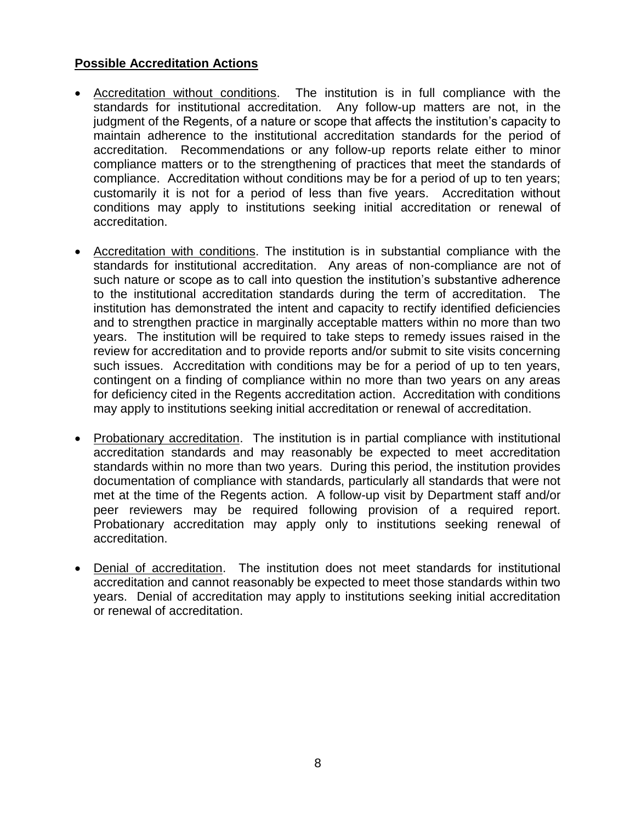## **Possible Accreditation Actions**

- Accreditation without conditions. The institution is in full compliance with the standards for institutional accreditation. Any follow-up matters are not, in the judgment of the Regents, of a nature or scope that affects the institution's capacity to maintain adherence to the institutional accreditation standards for the period of accreditation. Recommendations or any follow-up reports relate either to minor compliance matters or to the strengthening of practices that meet the standards of compliance. Accreditation without conditions may be for a period of up to ten years; customarily it is not for a period of less than five years. Accreditation without conditions may apply to institutions seeking initial accreditation or renewal of accreditation.
- Accreditation with conditions. The institution is in substantial compliance with the standards for institutional accreditation. Any areas of non-compliance are not of such nature or scope as to call into question the institution's substantive adherence to the institutional accreditation standards during the term of accreditation. The institution has demonstrated the intent and capacity to rectify identified deficiencies and to strengthen practice in marginally acceptable matters within no more than two years. The institution will be required to take steps to remedy issues raised in the review for accreditation and to provide reports and/or submit to site visits concerning such issues. Accreditation with conditions may be for a period of up to ten years, contingent on a finding of compliance within no more than two years on any areas for deficiency cited in the Regents accreditation action. Accreditation with conditions may apply to institutions seeking initial accreditation or renewal of accreditation.
- Probationary accreditation. The institution is in partial compliance with institutional accreditation standards and may reasonably be expected to meet accreditation standards within no more than two years. During this period, the institution provides documentation of compliance with standards, particularly all standards that were not met at the time of the Regents action. A follow-up visit by Department staff and/or peer reviewers may be required following provision of a required report. Probationary accreditation may apply only to institutions seeking renewal of accreditation.
- Denial of accreditation. The institution does not meet standards for institutional accreditation and cannot reasonably be expected to meet those standards within two years. Denial of accreditation may apply to institutions seeking initial accreditation or renewal of accreditation.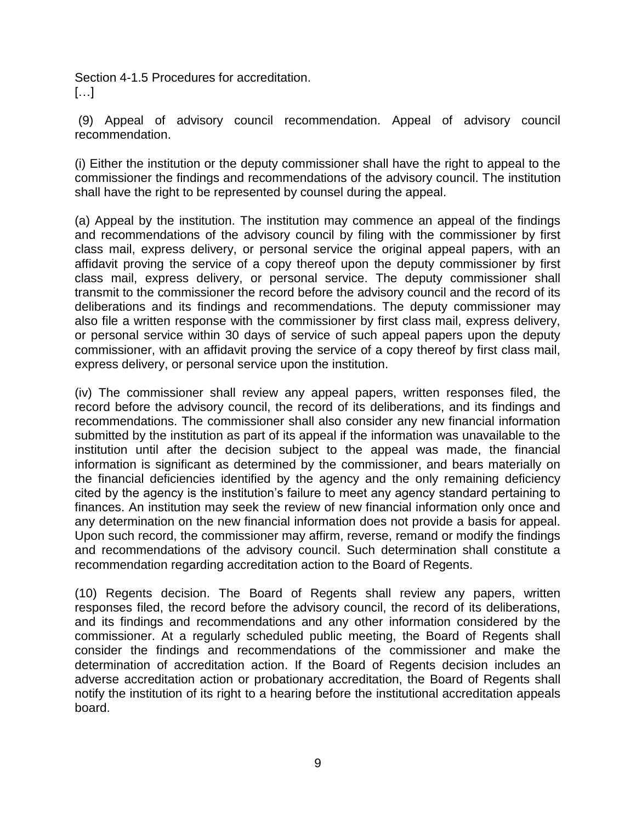Section 4-1.5 Procedures for accreditation. […]

(9) Appeal of advisory council recommendation. Appeal of advisory council recommendation.

(i) Either the institution or the deputy commissioner shall have the right to appeal to the commissioner the findings and recommendations of the advisory council. The institution shall have the right to be represented by counsel during the appeal.

(a) Appeal by the institution. The institution may commence an appeal of the findings and recommendations of the advisory council by filing with the commissioner by first class mail, express delivery, or personal service the original appeal papers, with an affidavit proving the service of a copy thereof upon the deputy commissioner by first class mail, express delivery, or personal service. The deputy commissioner shall transmit to the commissioner the record before the advisory council and the record of its deliberations and its findings and recommendations. The deputy commissioner may also file a written response with the commissioner by first class mail, express delivery, or personal service within 30 days of service of such appeal papers upon the deputy commissioner, with an affidavit proving the service of a copy thereof by first class mail, express delivery, or personal service upon the institution.

(iv) The commissioner shall review any appeal papers, written responses filed, the record before the advisory council, the record of its deliberations, and its findings and recommendations. The commissioner shall also consider any new financial information submitted by the institution as part of its appeal if the information was unavailable to the institution until after the decision subject to the appeal was made, the financial information is significant as determined by the commissioner, and bears materially on the financial deficiencies identified by the agency and the only remaining deficiency cited by the agency is the institution's failure to meet any agency standard pertaining to finances. An institution may seek the review of new financial information only once and any determination on the new financial information does not provide a basis for appeal. Upon such record, the commissioner may affirm, reverse, remand or modify the findings and recommendations of the advisory council. Such determination shall constitute a recommendation regarding accreditation action to the Board of Regents.

(10) Regents decision. The Board of Regents shall review any papers, written responses filed, the record before the advisory council, the record of its deliberations, and its findings and recommendations and any other information considered by the commissioner. At a regularly scheduled public meeting, the Board of Regents shall consider the findings and recommendations of the commissioner and make the determination of accreditation action. If the Board of Regents decision includes an adverse accreditation action or probationary accreditation, the Board of Regents shall notify the institution of its right to a hearing before the institutional accreditation appeals board.